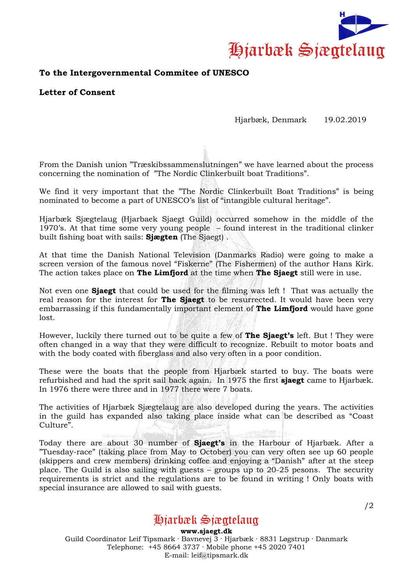

## **To the Intergovernmental Commitee of UNESCO**

**Letter of Consent**

## Hjarbæk, Denmark 19.02.2019

From the Danish union "Træskibssammenslutningen" we have learned about the process concerning the nomination of "The Nordic Clinkerbuilt boat Traditions".

We find it very important that the "The Nordic Clinkerbuilt Boat Traditions" is being nominated to become a part of UNESCO's list of "intangible cultural heritage".

Hjarbæk Sjægtelaug (Hjarbaek Sjaegt Guild) occurred somehow in the middle of the 1970's. At that time some very young people – found interest in the traditional clinker built fishing boat with sails: **Sjægten** (The Sjaegt) .

At that time the Danish National Television (Danmarks Radio) were going to make a screen version of the famous novel "Fiskerne" (The Fishermen) of the author Hans Kirk. The action takes place on **The Limfjord** at the time when **The Sjaegt** still were in use.

Not even one **Sjaegt** that could be used for the filming was left ! That was actually the real reason for the interest for **The Sjaegt** to be resurrected. It would have been very embarrassing if this fundamentally important element of **The Limfjord** would have gone lost.

However, luckily there turned out to be quite a few of **The Sjaegt's** left. But ! They were often changed in a way that they were difficult to recognize. Rebuilt to motor boats and with the body coated with fiberglass and also very often in a poor condition.

These were the boats that the people from Hjarbæk started to buy. The boats were refurbished and had the sprit sail back again. In 1975 the first **sjaegt** came to Hjarbæk. In 1976 there were three and in 1977 there were 7 boats.

The activities of Hjarbæk Sjægtelaug are also developed during the years. The activities in the guild has expanded also taking place inside what can be described as "Coast Culture".

Today there are about 30 number of **Sjaegt's** in the Harbour of Hjarbæk. After a "Tuesday-race" (taking place from May to October) you can very often see up 60 people (skippers and crew members) drinking coffee and enjoying a "Danish" after at the steep place. The Guild is also sailing with guests – groups up to 20-25 pesons. The security requirements is strict and the regulations are to be found in writing ! Only boats with special insurance are allowed to sail with guests.

Hiarbæk Siæatelaua

**www.sjaegt.dk** Guild Coordinator Leif Tipsmark · Bavnevej 3 · Hjarbæk · 8831 Løgstrup · Danmark Telephone: +45 8664 3737 · Mobile phone +45 2020 7401 E-mail: leif@tipsmark.dk

/2